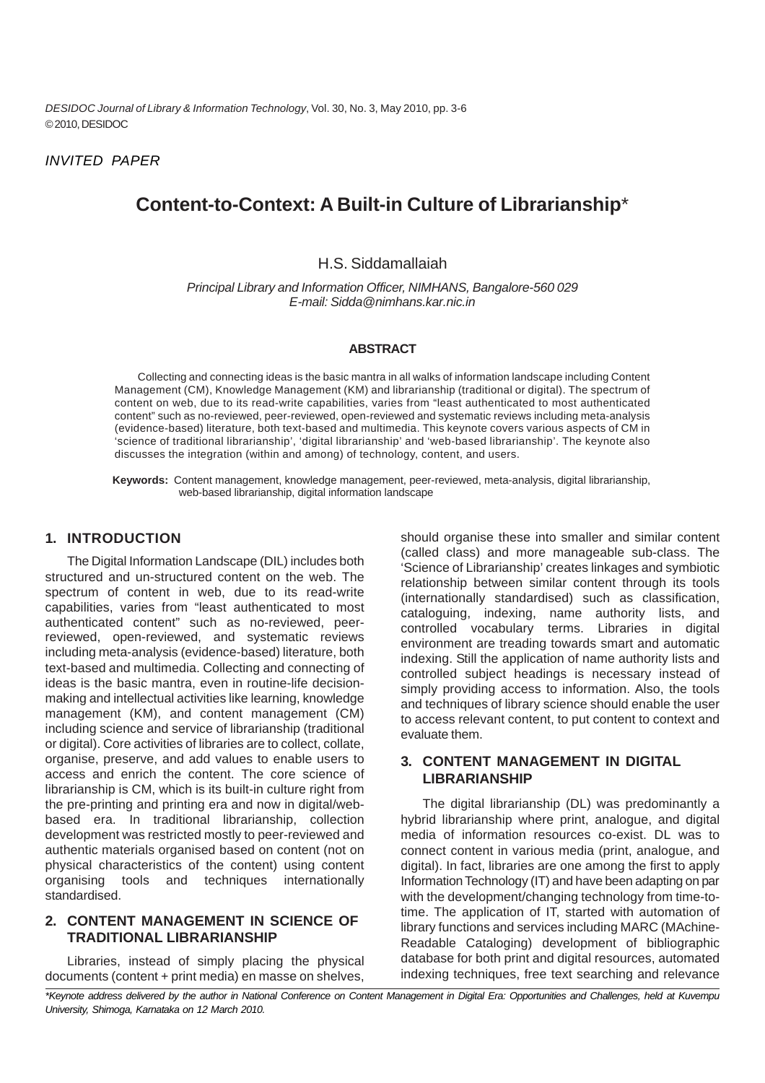*DESIDOC Journal of Library & Information Technology*, Vol. 30, No. 3, May 2010, pp. 3-6 © 2010, DESIDOC

*INVITED PAPER*

# **Content-to-Context: A Built-in Culture of Librarianship**\*

### H.S. Siddamallaiah

*Principal Library and Information Officer, NIMHANS, Bangalore-560 029 E-mail: Sidda@nimhans.kar.nic.in*

#### **ABSTRACT**

Collecting and connecting ideas is the basic mantra in all walks of information landscape including Content Management (CM), Knowledge Management (KM) and librarianship (traditional or digital). The spectrum of content on web, due to its read-write capabilities, varies from "least authenticated to most authenticated content" such as no-reviewed, peer-reviewed, open-reviewed and systematic reviews including meta-analysis (evidence-based) literature, both text-based and multimedia. This keynote covers various aspects of CM in 'science of traditional librarianship', 'digital librarianship' and 'web-based librarianship'. The keynote also discusses the integration (within and among) of technology, content, and users.

**Keywords:** Content management, knowledge management, peer-reviewed, meta-analysis, digital librarianship, web-based librarianship, digital information landscape

#### **1. INTRODUCTION**

The Digital Information Landscape (DIL) includes both structured and un-structured content on the web. The spectrum of content in web, due to its read-write capabilities, varies from "least authenticated to most authenticated content" such as no-reviewed, peerreviewed, open-reviewed, and systematic reviews including meta-analysis (evidence-based) literature, both text-based and multimedia. Collecting and connecting of ideas is the basic mantra, even in routine-life decisionmaking and intellectual activities like learning, knowledge management (KM), and content management (CM) including science and service of librarianship (traditional or digital). Core activities of libraries are to collect, collate, organise, preserve, and add values to enable users to access and enrich the content. The core science of librarianship is CM, which is its built-in culture right from the pre-printing and printing era and now in digital/webbased era. In traditional librarianship, collection development was restricted mostly to peer-reviewed and authentic materials organised based on content (not on physical characteristics of the content) using content organising tools and techniques internationally standardised.

### **2. CONTENT MANAGEMENT IN SCIENCE OF TRADITIONAL LIBRARIANSHIP**

Libraries, instead of simply placing the physical documents (content + print media) en masse on shelves,

should organise these into smaller and similar content (called class) and more manageable sub-class. The 'Science of Librarianship' creates linkages and symbiotic relationship between similar content through its tools (internationally standardised) such as classification, cataloguing, indexing, name authority lists, and controlled vocabulary terms. Libraries in digital environment are treading towards smart and automatic indexing. Still the application of name authority lists and controlled subject headings is necessary instead of simply providing access to information. Also, the tools and techniques of library science should enable the user to access relevant content, to put content to context and evaluate them.

#### **3. CONTENT MANAGEMENT IN DIGITAL LIBRARIANSHIP**

The digital librarianship (DL) was predominantly a hybrid librarianship where print, analogue, and digital media of information resources co-exist. DL was to connect content in various media (print, analogue, and digital). In fact, libraries are one among the first to apply Information Technology (IT) and have been adapting on par with the development/changing technology from time-totime. The application of IT, started with automation of library functions and services including MARC (MAchine-Readable Cataloging) development of bibliographic database for both print and digital resources, automated indexing techniques, free text searching and relevance

*\*Keynote address delivered by the author in National Conference on Content Management in Digital Era: Opportunities and Challenges, held at Kuvempu University, Shimoga, Karnataka on 12 March 2010.*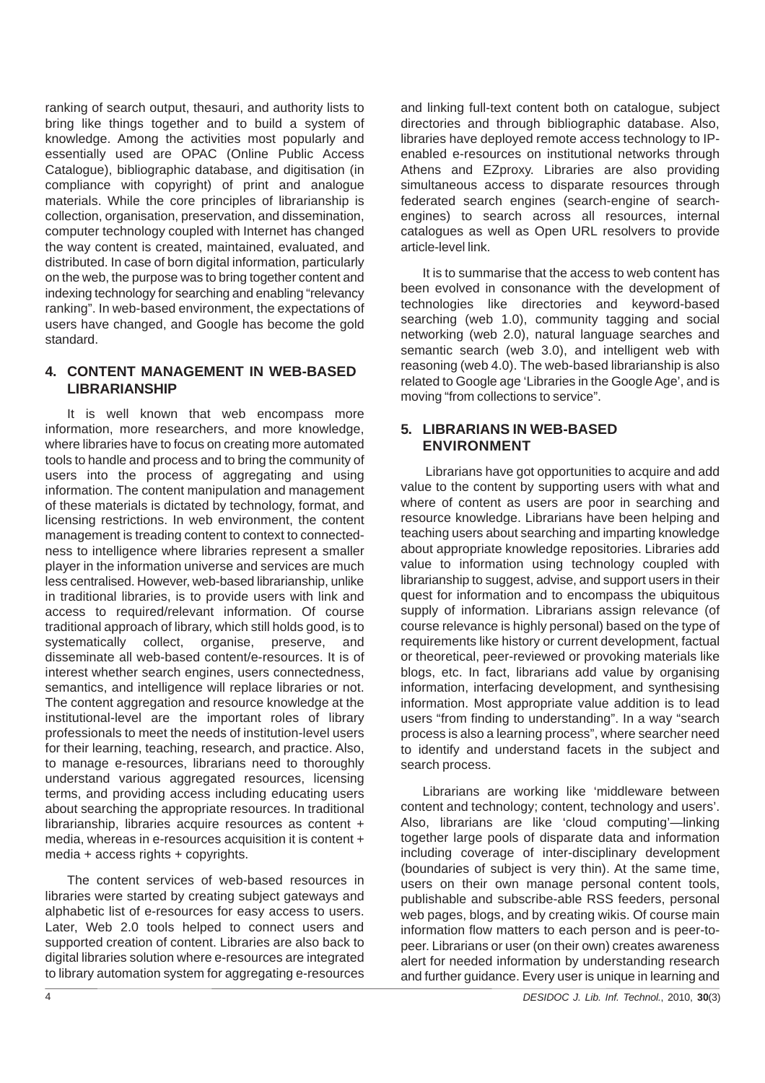ranking of search output, thesauri, and authority lists to bring like things together and to build a system of knowledge. Among the activities most popularly and essentially used are OPAC (Online Public Access Catalogue), bibliographic database, and digitisation (in compliance with copyright) of print and analogue materials. While the core principles of librarianship is collection, organisation, preservation, and dissemination, computer technology coupled with Internet has changed the way content is created, maintained, evaluated, and distributed. In case of born digital information, particularly on the web, the purpose was to bring together content and indexing technology for searching and enabling "relevancy ranking". In web-based environment, the expectations of users have changed, and Google has become the gold standard.

### **4. CONTENT MANAGEMENT IN WEB-BASED LIBRARIANSHIP**

It is well known that web encompass more information, more researchers, and more knowledge, where libraries have to focus on creating more automated tools to handle and process and to bring the community of users into the process of aggregating and using information. The content manipulation and management of these materials is dictated by technology, format, and licensing restrictions. In web environment, the content management is treading content to context to connectedness to intelligence where libraries represent a smaller player in the information universe and services are much less centralised. However, web-based librarianship, unlike in traditional libraries, is to provide users with link and access to required/relevant information. Of course traditional approach of library, which still holds good, is to systematically collect, organise, preserve, and disseminate all web-based content/e-resources. It is of interest whether search engines, users connectedness, semantics, and intelligence will replace libraries or not. The content aggregation and resource knowledge at the institutional-level are the important roles of library professionals to meet the needs of institution-level users for their learning, teaching, research, and practice. Also, to manage e-resources, librarians need to thoroughly understand various aggregated resources, licensing terms, and providing access including educating users about searching the appropriate resources. In traditional librarianship, libraries acquire resources as content + media, whereas in e-resources acquisition it is content + media + access rights + copyrights.

The content services of web-based resources in libraries were started by creating subject gateways and alphabetic list of e-resources for easy access to users. Later, Web 2.0 tools helped to connect users and supported creation of content. Libraries are also back to digital libraries solution where e-resources are integrated to library automation system for aggregating e-resources

and linking full-text content both on catalogue, subject directories and through bibliographic database. Also, libraries have deployed remote access technology to IPenabled e-resources on institutional networks through Athens and EZproxy. Libraries are also providing simultaneous access to disparate resources through federated search engines (search-engine of searchengines) to search across all resources, internal catalogues as well as Open URL resolvers to provide article-level link.

It is to summarise that the access to web content has been evolved in consonance with the development of technologies like directories and keyword-based searching (web 1.0), community tagging and social networking (web 2.0), natural language searches and semantic search (web 3.0), and intelligent web with reasoning (web 4.0). The web-based librarianship is also related to Google age 'Libraries in the Google Age', and is moving "from collections to service".

### **5. LIBRARIANS IN WEB-BASED ENVIRONMENT**

 Librarians have got opportunities to acquire and add value to the content by supporting users with what and where of content as users are poor in searching and resource knowledge. Librarians have been helping and teaching users about searching and imparting knowledge about appropriate knowledge repositories. Libraries add value to information using technology coupled with librarianship to suggest, advise, and support users in their quest for information and to encompass the ubiquitous supply of information. Librarians assign relevance (of course relevance is highly personal) based on the type of requirements like history or current development, factual or theoretical, peer-reviewed or provoking materials like blogs, etc. In fact, librarians add value by organising information, interfacing development, and synthesising information. Most appropriate value addition is to lead users "from finding to understanding". In a way "search process is also a learning process", where searcher need to identify and understand facets in the subject and search process.

Librarians are working like 'middleware between content and technology; content, technology and users'. Also, librarians are like 'cloud computing'—linking together large pools of disparate data and information including coverage of inter-disciplinary development (boundaries of subject is very thin). At the same time, users on their own manage personal content tools, publishable and subscribe-able RSS feeders, personal web pages, blogs, and by creating wikis. Of course main information flow matters to each person and is peer-topeer. Librarians or user (on their own) creates awareness alert for needed information by understanding research and further guidance. Every user is unique in learning and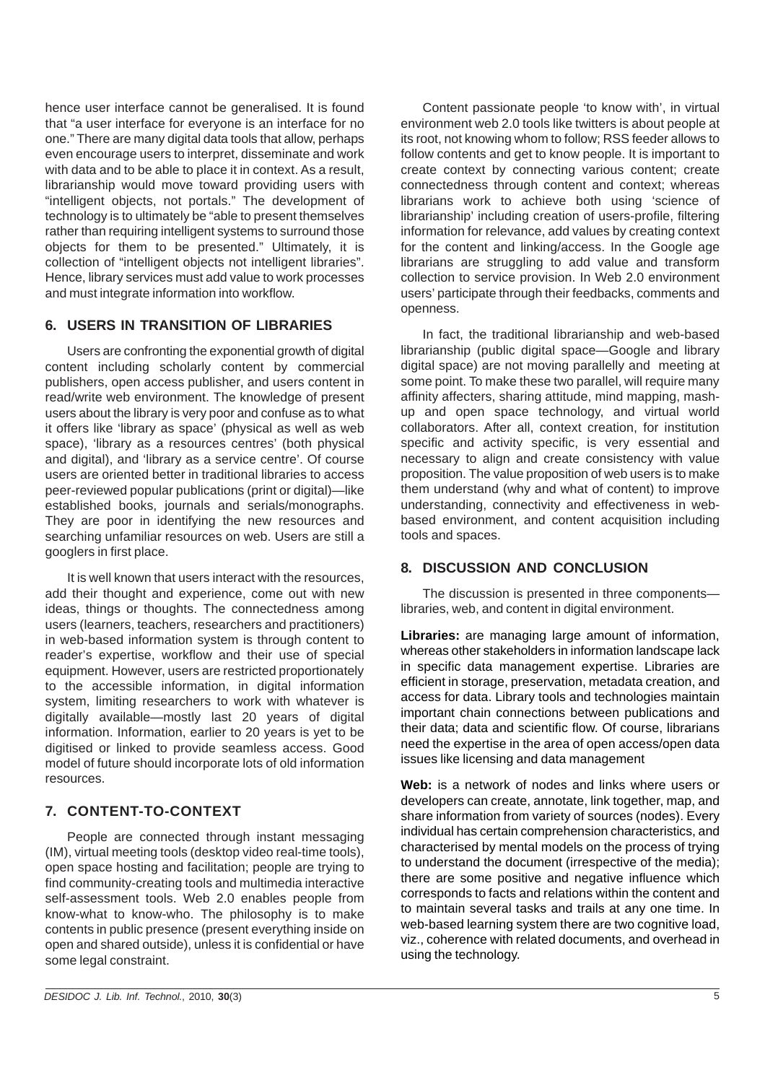hence user interface cannot be generalised. It is found that "a user interface for everyone is an interface for no one." There are many digital data tools that allow, perhaps even encourage users to interpret, disseminate and work with data and to be able to place it in context. As a result, librarianship would move toward providing users with "intelligent objects, not portals." The development of technology is to ultimately be "able to present themselves rather than requiring intelligent systems to surround those objects for them to be presented." Ultimately, it is collection of "intelligent objects not intelligent libraries". Hence, library services must add value to work processes and must integrate information into workflow.

### **6. USERS IN TRANSITION OF LIBRARIES**

Users are confronting the exponential growth of digital content including scholarly content by commercial publishers, open access publisher, and users content in read/write web environment. The knowledge of present users about the library is very poor and confuse as to what it offers like 'library as space' (physical as well as web space), 'library as a resources centres' (both physical and digital), and 'library as a service centre'. Of course users are oriented better in traditional libraries to access peer-reviewed popular publications (print or digital)—like established books, journals and serials/monographs. They are poor in identifying the new resources and searching unfamiliar resources on web. Users are still a googlers in first place.

It is well known that users interact with the resources, add their thought and experience, come out with new ideas, things or thoughts. The connectedness among users (learners, teachers, researchers and practitioners) in web-based information system is through content to reader's expertise, workflow and their use of special equipment. However, users are restricted proportionately to the accessible information, in digital information system, limiting researchers to work with whatever is digitally available—mostly last 20 years of digital information. Information, earlier to 20 years is yet to be digitised or linked to provide seamless access. Good model of future should incorporate lots of old information resources.

## **7. CONTENT-TO-CONTEXT**

People are connected through instant messaging (IM), virtual meeting tools (desktop video real-time tools), open space hosting and facilitation; people are trying to find community-creating tools and multimedia interactive self-assessment tools. Web 2.0 enables people from know-what to know-who. The philosophy is to make contents in public presence (present everything inside on open and shared outside), unless it is confidential or have some legal constraint.

Content passionate people 'to know with', in virtual environment web 2.0 tools like twitters is about people at its root, not knowing whom to follow; RSS feeder allows to follow contents and get to know people. It is important to create context by connecting various content; create connectedness through content and context; whereas librarians work to achieve both using 'science of librarianship' including creation of users-profile, filtering information for relevance, add values by creating context for the content and linking/access. In the Google age librarians are struggling to add value and transform collection to service provision. In Web 2.0 environment users' participate through their feedbacks, comments and openness.

In fact, the traditional librarianship and web-based librarianship (public digital space—Google and library digital space) are not moving parallelly and meeting at some point. To make these two parallel, will require many affinity affecters, sharing attitude, mind mapping, mashup and open space technology, and virtual world collaborators. After all, context creation, for institution specific and activity specific, is very essential and necessary to align and create consistency with value proposition. The value proposition of web users is to make them understand (why and what of content) to improve understanding, connectivity and effectiveness in webbased environment, and content acquisition including tools and spaces.

### **8. DISCUSSION AND CONCLUSION**

The discussion is presented in three components libraries, web, and content in digital environment.

**Libraries:** are managing large amount of information, whereas other stakeholders in information landscape lack in specific data management expertise. Libraries are efficient in storage, preservation, metadata creation, and access for data. Library tools and technologies maintain important chain connections between publications and their data; data and scientific flow. Of course, librarians need the expertise in the area of open access/open data issues like licensing and data management

**Web:** is a network of nodes and links where users or developers can create, annotate, link together, map, and share information from variety of sources (nodes). Every individual has certain comprehension characteristics, and characterised by mental models on the process of trying to understand the document (irrespective of the media); there are some positive and negative influence which corresponds to facts and relations within the content and to maintain several tasks and trails at any one time. In web-based learning system there are two cognitive load, viz., coherence with related documents, and overhead in using the technology.